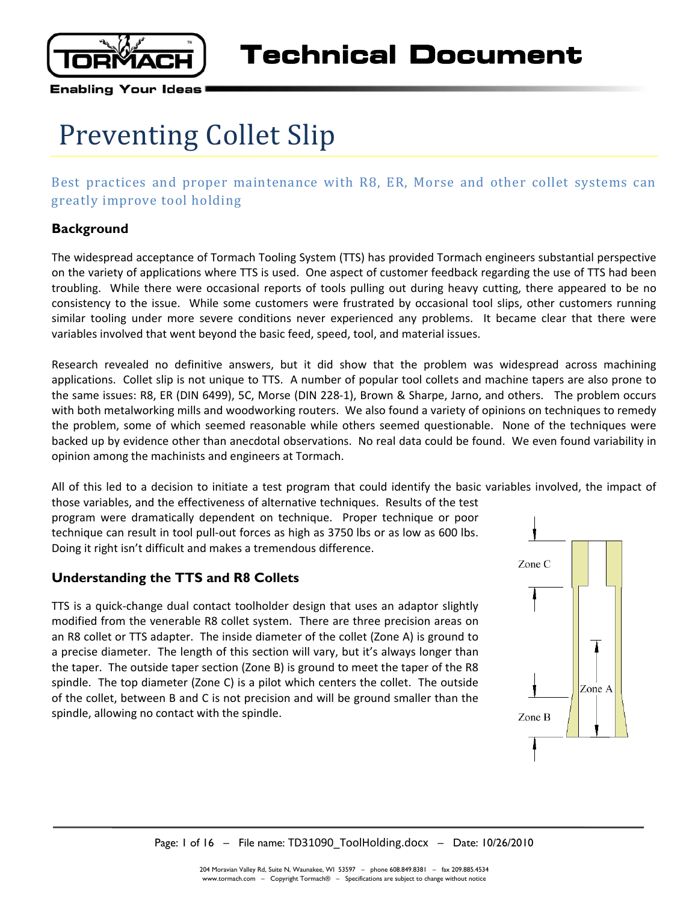

# Preventing Collet Slip

# Best practices and proper maintenance with R8, ER, Morse and other collet systems can greatly improve tool holding

# **Background**

The widespread acceptance of Tormach Tooling System (TTS) has provided Tormach engineers substantial perspective on the variety of applications where TTS is used. One aspect of customer feedback regarding the use of TTS had been troubling. While there were occasional reports of tools pulling out during heavy cutting, there appeared to be no consistency to the issue. While some customers were frustrated by occasional tool slips, other customers running similar tooling under more severe conditions never experienced any problems. It became clear that there were variables involved that went beyond the basic feed, speed, tool, and material issues.

Research revealed no definitive answers, but it did show that the problem was widespread across machining applications. Collet slip is not unique to TTS. A number of popular tool collets and machine tapers are also prone to the same issues: R8, ER (DIN 6499), 5C, Morse (DIN 228-1), Brown & Sharpe, Jarno, and others. The problem occurs with both metalworking mills and woodworking routers. We also found a variety of opinions on techniques to remedy the problem, some of which seemed reasonable while others seemed questionable. None of the techniques were backed up by evidence other than anecdotal observations. No real data could be found. We even found variability in opinion among the machinists and engineers at Tormach.

All of this led to a decision to initiate a test program that could identify the basic variables involved, the impact of those variables, and the effectiveness of alternative techniques. Results of the test

program were dramatically dependent on technique. Proper technique or poor technique can result in tool pull-out forces as high as 3750 lbs or as low as 600 lbs. Doing it right isn't difficult and makes a tremendous difference.

# **Understanding the TTS and R8 Collets**

TTS is a quick-change dual contact toolholder design that uses an adaptor slightly modified from the venerable R8 collet system. There are three precision areas on an R8 collet or TTS adapter. The inside diameter of the collet (Zone A) is ground to a precise diameter. The length of this section will vary, but it's always longer than the taper. The outside taper section (Zone B) is ground to meet the taper of the R8 spindle. The top diameter (Zone C) is a pilot which centers the collet. The outside of the collet, between B and C is not precision and will be ground smaller than the spindle, allowing no contact with the spindle.

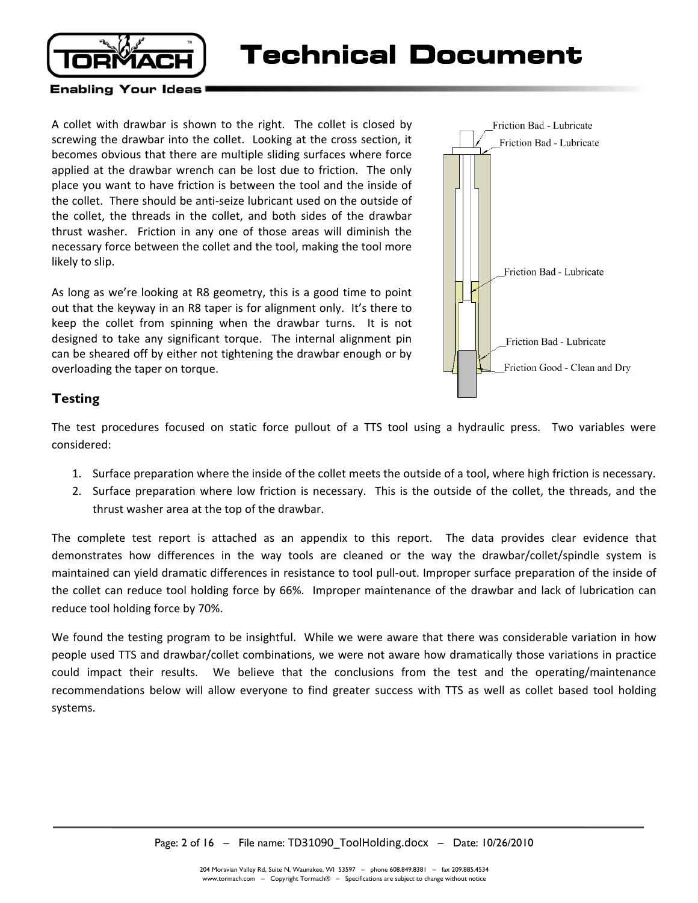

**Technical Document** 

#### **Enabling Your Ideas**

A collet with drawbar is shown to the right. The collet is closed by screwing the drawbar into the collet. Looking at the cross section, it becomes obvious that there are multiple sliding surfaces where force applied at the drawbar wrench can be lost due to friction. The only place you want to have friction is between the tool and the inside of the collet. There should be anti-seize lubricant used on the outside of the collet, the threads in the collet, and both sides of the drawbar thrust washer. Friction in any one of those areas will diminish the necessary force between the collet and the tool, making the tool more likely to slip.

As long as we're looking at R8 geometry, this is a good time to point out that the keyway in an R8 taper is for alignment only. It's there to keep the collet from spinning when the drawbar turns. It is not designed to take any significant torque. The internal alignment pin can be sheared off by either not tightening the drawbar enough or by overloading the taper on torque.



#### **Testing**

The test procedures focused on static force pullout of a TTS tool using a hydraulic press. Two variables were considered:

- 1. Surface preparation where the inside of the collet meets the outside of a tool, where high friction is necessary.
- 2. Surface preparation where low friction is necessary. This is the outside of the collet, the threads, and the thrust washer area at the top of the drawbar.

The complete test report is attached as an appendix to this report. The data provides clear evidence that demonstrates how differences in the way tools are cleaned or the way the drawbar/collet/spindle system is maintained can yield dramatic differences in resistance to tool pull-out. Improper surface preparation of the inside of the collet can reduce tool holding force by 66%. Improper maintenance of the drawbar and lack of lubrication can reduce tool holding force by 70%.

We found the testing program to be insightful. While we were aware that there was considerable variation in how people used TTS and drawbar/collet combinations, we were not aware how dramatically those variations in practice could impact their results. We believe that the conclusions from the test and the operating/maintenance recommendations below will allow everyone to find greater success with TTS as well as collet based tool holding systems.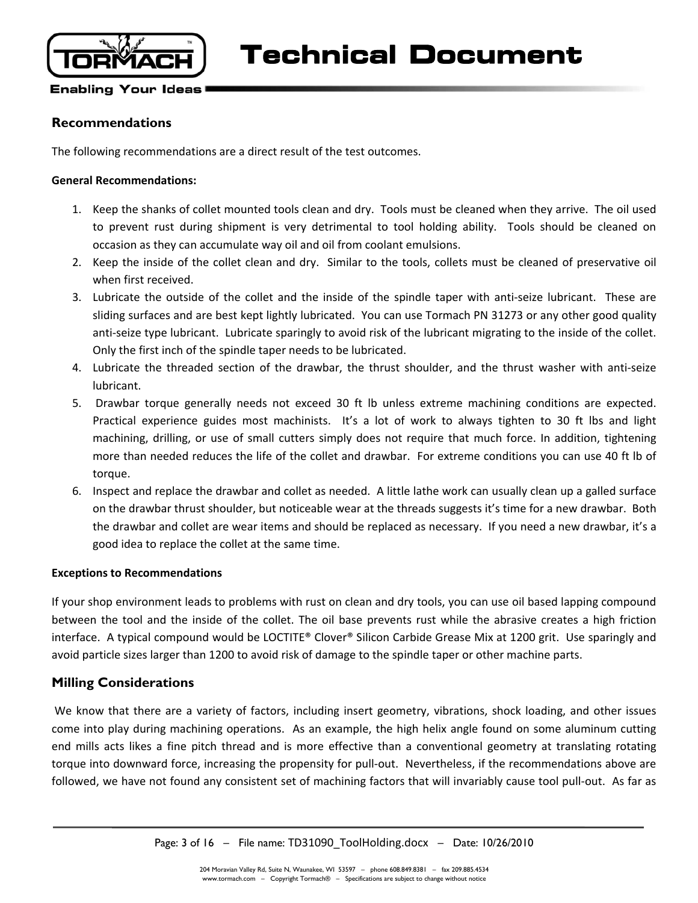

### **Recommendations**

The following recommendations are a direct result of the test outcomes.

#### **General Recommendations:**

- 1. Keep the shanks of collet mounted tools clean and dry. Tools must be cleaned when they arrive. The oil used to prevent rust during shipment is very detrimental to tool holding ability. Tools should be cleaned on occasion as they can accumulate way oil and oil from coolant emulsions.
- 2. Keep the inside of the collet clean and dry. Similar to the tools, collets must be cleaned of preservative oil when first received.
- 3. Lubricate the outside of the collet and the inside of the spindle taper with anti-seize lubricant. These are sliding surfaces and are best kept lightly lubricated. You can use Tormach PN 31273 or any other good quality anti-seize type lubricant. Lubricate sparingly to avoid risk of the lubricant migrating to the inside of the collet. Only the first inch of the spindle taper needs to be lubricated.
- 4. Lubricate the threaded section of the drawbar, the thrust shoulder, and the thrust washer with anti-seize lubricant.
- 5. Drawbar torque generally needs not exceed 30 ft lb unless extreme machining conditions are expected. Practical experience guides most machinists. It's a lot of work to always tighten to 30 ft lbs and light machining, drilling, or use of small cutters simply does not require that much force. In addition, tightening more than needed reduces the life of the collet and drawbar. For extreme conditions you can use 40 ft lb of torque.
- 6. Inspect and replace the drawbar and collet as needed. A little lathe work can usually clean up a galled surface on the drawbar thrust shoulder, but noticeable wear at the threads suggests it's time for a new drawbar. Both the drawbar and collet are wear items and should be replaced as necessary. If you need a new drawbar, it's a good idea to replace the collet at the same time.

#### **Exceptions to Recommendations**

If your shop environment leads to problems with rust on clean and dry tools, you can use oil based lapping compound between the tool and the inside of the collet. The oil base prevents rust while the abrasive creates a high friction interface. A typical compound would be LOCTITE® Clover® Silicon Carbide Grease Mix at 1200 grit. Use sparingly and avoid particle sizes larger than 1200 to avoid risk of damage to the spindle taper or other machine parts.

#### **Milling Considerations**

 We know that there are a variety of factors, including insert geometry, vibrations, shock loading, and other issues come into play during machining operations. As an example, the high helix angle found on some aluminum cutting end mills acts likes a fine pitch thread and is more effective than a conventional geometry at translating rotating torque into downward force, increasing the propensity for pull-out. Nevertheless, if the recommendations above are followed, we have not found any consistent set of machining factors that will invariably cause tool pull-out. As far as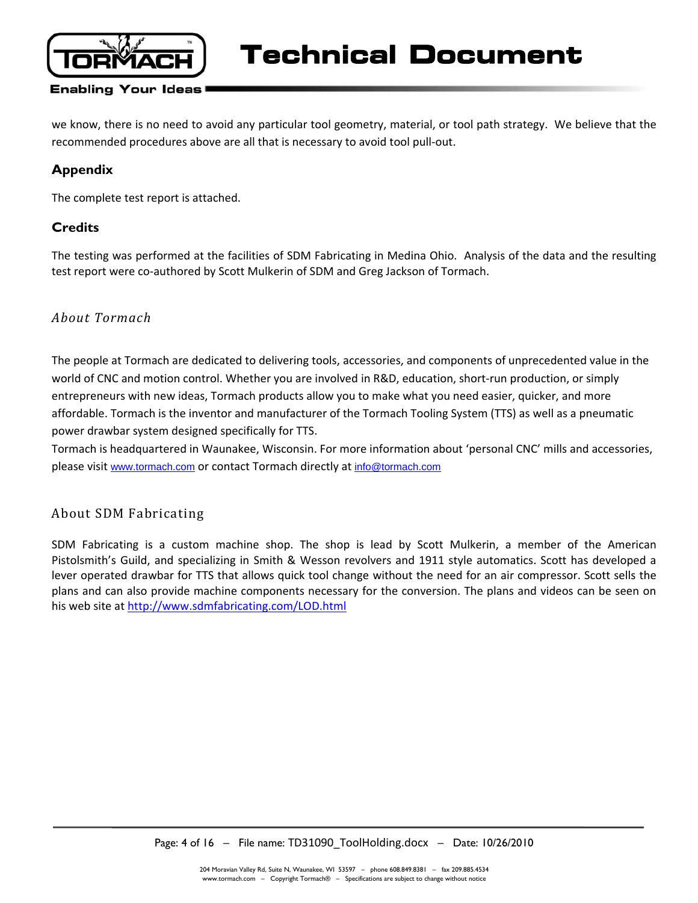

**Technical Document** 

#### **Enabling Your Ideas**

we know, there is no need to avoid any particular tool geometry, material, or tool path strategy. We believe that the recommended procedures above are all that is necessary to avoid tool pull-out.

### **Appendix**

The complete test report is attached.

### **Credits**

The testing was performed at the facilities of SDM Fabricating in Medina Ohio. Analysis of the data and the resulting test report were co-authored by Scott Mulkerin of SDM and Greg Jackson of Tormach.

# *About Tormach*

The people at Tormach are dedicated to delivering tools, accessories, and components of unprecedented value in the world of CNC and motion control. Whether you are involved in R&D, education, short-run production, or simply entrepreneurs with new ideas, Tormach products allow you to make what you need easier, quicker, and more affordable. Tormach is the inventor and manufacturer of the Tormach Tooling System (TTS) as well as a pneumatic power drawbar system designed specifically for TTS.

Tormach is headquartered in Waunakee, Wisconsin. For more information about 'personal CNC' mills and accessories, please visit www.tormach.com or contact Tormach directly at info@tormach.com

# About SDM Fabricating

SDM Fabricating is a custom machine shop. The shop is lead by Scott Mulkerin, a member of the American Pistolsmith's Guild, and specializing in Smith & Wesson revolvers and 1911 style automatics. Scott has developed a lever operated drawbar for TTS that allows quick tool change without the need for an air compressor. Scott sells the plans and can also provide machine components necessary for the conversion. The plans and videos can be seen on his web site at http://www.sdmfabricating.com/LOD.html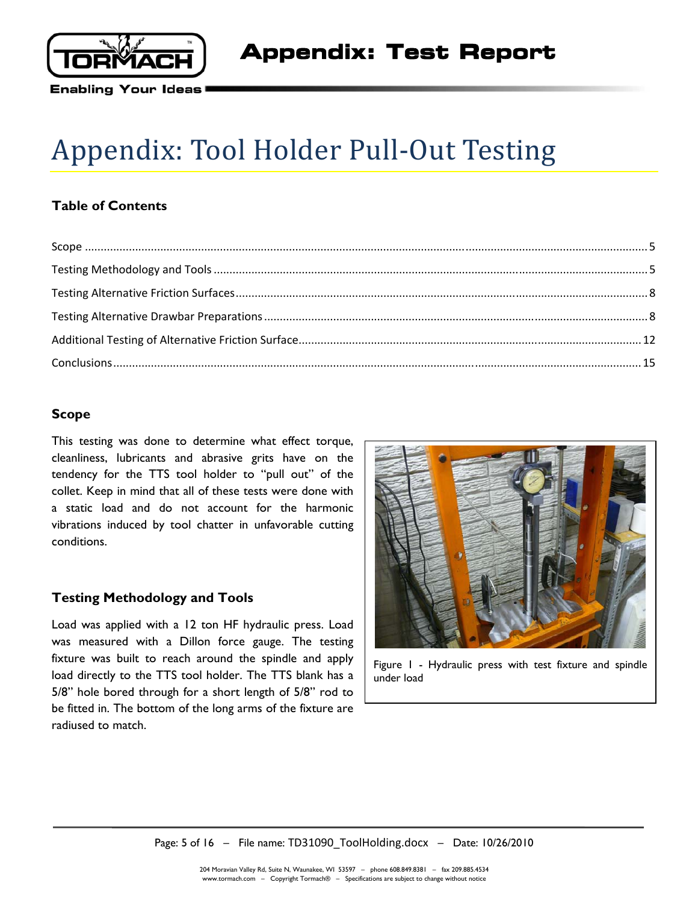

# Appendix: Tool Holder Pull-Out Testing

# **Table of Contents**

# **Scope**

This testing was done to determine what effect torque, cleanliness, lubricants and abrasive grits have on the tendency for the TTS tool holder to "pull out" of the collet. Keep in mind that all of these tests were done with a static load and do not account for the harmonic vibrations induced by tool chatter in unfavorable cutting conditions.

#### **Testing Methodology and Tools**

Load was applied with a 12 ton HF hydraulic press. Load was measured with a Dillon force gauge. The testing fixture was built to reach around the spindle and apply load directly to the TTS tool holder. The TTS blank has a 5/8" hole bored through for a short length of 5/8" rod to be fitted in. The bottom of the long arms of the fixture are radiused to match.



Figure 1 - Hydraulic press with test fixture and spindle under load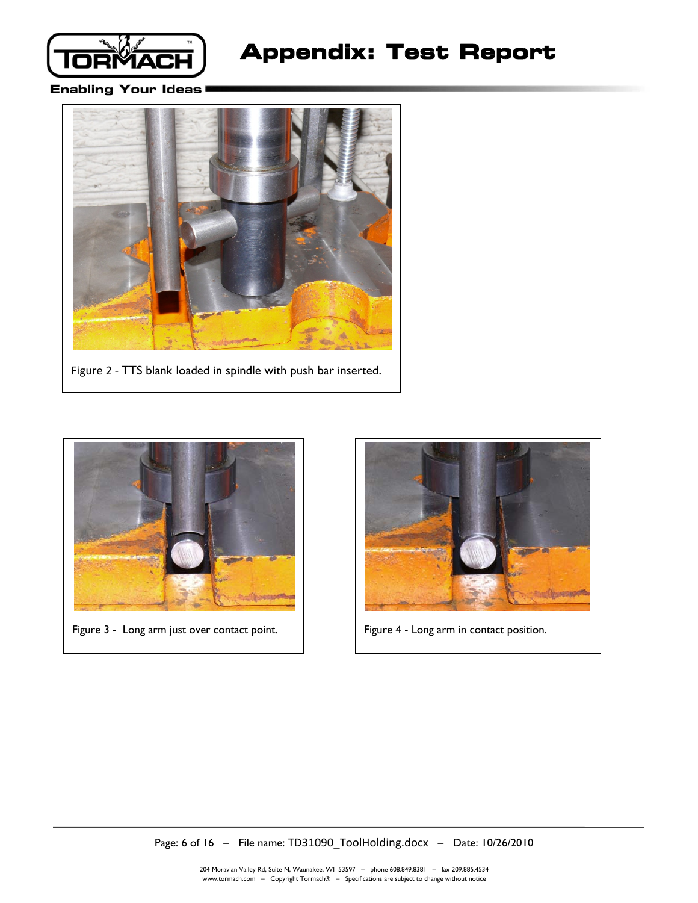

# **Appendix: Test Report**

#### **Enabling Your Ideas**



Figure 2 - TTS blank loaded in spindle with push bar inserted.



Figure 3 - Long arm just over contact point.  $\vert$  Figure 4 - Long arm in contact position.

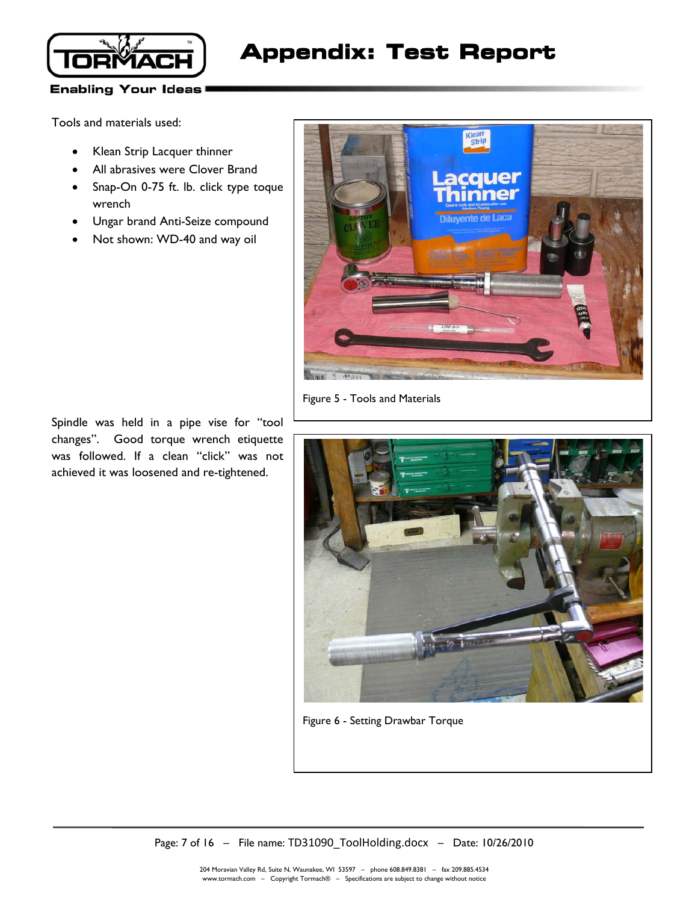

# **Appendix: Test Report**

#### **Enabling Your Ideas**

Tools and materials used:

- Klean Strip Lacquer thinner
- All abrasives were Clover Brand
- Snap-On 0-75 ft. lb. click type toque wrench
- Ungar brand Anti-Seize compound
- Not shown: WD-40 and way oil



Figure 5 - Tools and Materials

Figure 6 - Setting Drawbar Torque

Spindle was held in a pipe vise for "tool changes". Good torque wrench etiquette was followed. If a clean "click" was not achieved it was loosened and re-tightened.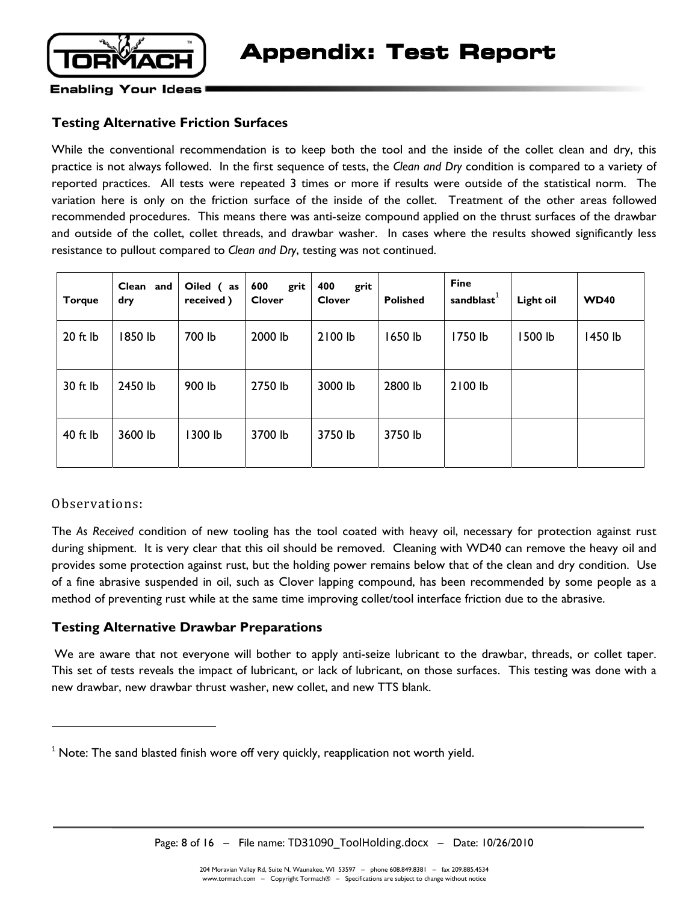

# **Testing Alternative Friction Surfaces**

While the conventional recommendation is to keep both the tool and the inside of the collet clean and dry, this practice is not always followed. In the first sequence of tests, the *Clean and Dry* condition is compared to a variety of reported practices. All tests were repeated 3 times or more if results were outside of the statistical norm. The variation here is only on the friction surface of the inside of the collet. Treatment of the other areas followed recommended procedures. This means there was anti-seize compound applied on the thrust surfaces of the drawbar and outside of the collet, collet threads, and drawbar washer. In cases where the results showed significantly less resistance to pullout compared to *Clean and Dry*, testing was not continued.

| <b>Torque</b> | Clean and<br>dry | Oiled (as<br>received) | 600<br>grit<br><b>Clover</b> | 400<br>grit<br><b>Clover</b> | <b>Polished</b> | <b>Fine</b><br>sandblast $^1$ | Light oil | <b>WD40</b> |
|---------------|------------------|------------------------|------------------------------|------------------------------|-----------------|-------------------------------|-----------|-------------|
| $20$ ft $lb$  | 1850 lb          | 700 lb                 | 2000 lb                      | 2100 lb                      | 1650 lb         | 1750 lb                       | 1500 lb   | 1450 lb     |
| 30 ft lb      | 2450 lb          | 900 lb                 | 2750 lb                      | 3000 lb                      | 2800 lb         | 2100 lb                       |           |             |
| 40 ft lb      | 3600 lb          | 1300 lb                | 3700 lb                      | 3750 lb                      | 3750 lb         |                               |           |             |

#### Observations:

**.** 

The *As Received* condition of new tooling has the tool coated with heavy oil, necessary for protection against rust during shipment. It is very clear that this oil should be removed. Cleaning with WD40 can remove the heavy oil and provides some protection against rust, but the holding power remains below that of the clean and dry condition. Use of a fine abrasive suspended in oil, such as Clover lapping compound, has been recommended by some people as a method of preventing rust while at the same time improving collet/tool interface friction due to the abrasive.

# **Testing Alternative Drawbar Preparations**

We are aware that not everyone will bother to apply anti-seize lubricant to the drawbar, threads, or collet taper. This set of tests reveals the impact of lubricant, or lack of lubricant, on those surfaces. This testing was done with a new drawbar, new drawbar thrust washer, new collet, and new TTS blank.

Page: 8 of 16 – File name: TD31090\_ToolHolding.docx – Date: 10/26/2010

 $1$  Note: The sand blasted finish wore off very quickly, reapplication not worth yield.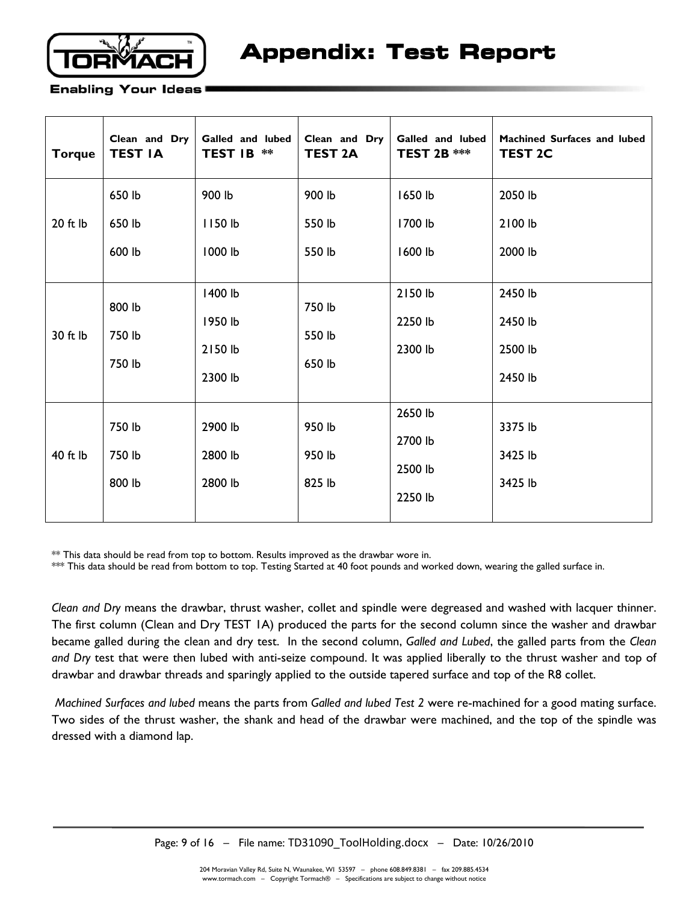

| <b>Torque</b> | Clean and Dry<br><b>TEST IA</b> | Galled and lubed<br><b>TEST IB</b><br>** | Clean and Dry<br><b>TEST 2A</b> | Galled and lubed<br><b>TEST 2B ***</b> | Machined Surfaces and lubed<br><b>TEST 2C</b> |
|---------------|---------------------------------|------------------------------------------|---------------------------------|----------------------------------------|-----------------------------------------------|
|               | 650 lb                          | 900 lb                                   | 900 lb                          | 1650 lb                                | 2050 lb                                       |
| $20$ ft $lb$  | 650 lb                          | 1150 lb                                  | 550 lb                          | 1700 lb                                | 2100 lb                                       |
|               | 600 lb                          | 1000 lb                                  | 550 lb                          | 1600 lb                                | 2000 lb                                       |
|               | 800 lb                          | 1400 lb                                  | 750 lb                          | 2150 lb                                | 2450 lb                                       |
| 30 ft lb      | 750 lb                          | 1950 lb                                  | 550 lb                          | 2250 lb                                | 2450 lb                                       |
|               | 750 lb                          | 2150 lb<br>2300 lb                       | 650 lb                          | 2300 lb                                | 2500 lb<br>2450 lb                            |
|               | 750 lb                          | 2900 lb                                  | 950 lb                          | 2650 lb<br>2700 lb                     | 3375 lb                                       |
| 40 ft lb      | 750 lb                          | 2800 lb                                  | 950 lb                          | 2500 lb                                | 3425 lb                                       |
|               | 800 lb                          | 2800 lb                                  | 825 lb                          | 2250 lb                                | 3425 lb                                       |

\*\* This data should be read from top to bottom. Results improved as the drawbar wore in.

\*\*\* This data should be read from bottom to top. Testing Started at 40 foot pounds and worked down, wearing the galled surface in.

*Clean and Dry* means the drawbar, thrust washer, collet and spindle were degreased and washed with lacquer thinner. The first column (Clean and Dry TEST 1A) produced the parts for the second column since the washer and drawbar became galled during the clean and dry test. In the second column, *Galled and Lubed*, the galled parts from the *Clean and Dry* test that were then lubed with anti-seize compound. It was applied liberally to the thrust washer and top of drawbar and drawbar threads and sparingly applied to the outside tapered surface and top of the R8 collet.

*Machined Surfaces and lubed* means the parts from *Galled and lubed Test 2* were re-machined for a good mating surface. Two sides of the thrust washer, the shank and head of the drawbar were machined, and the top of the spindle was dressed with a diamond lap.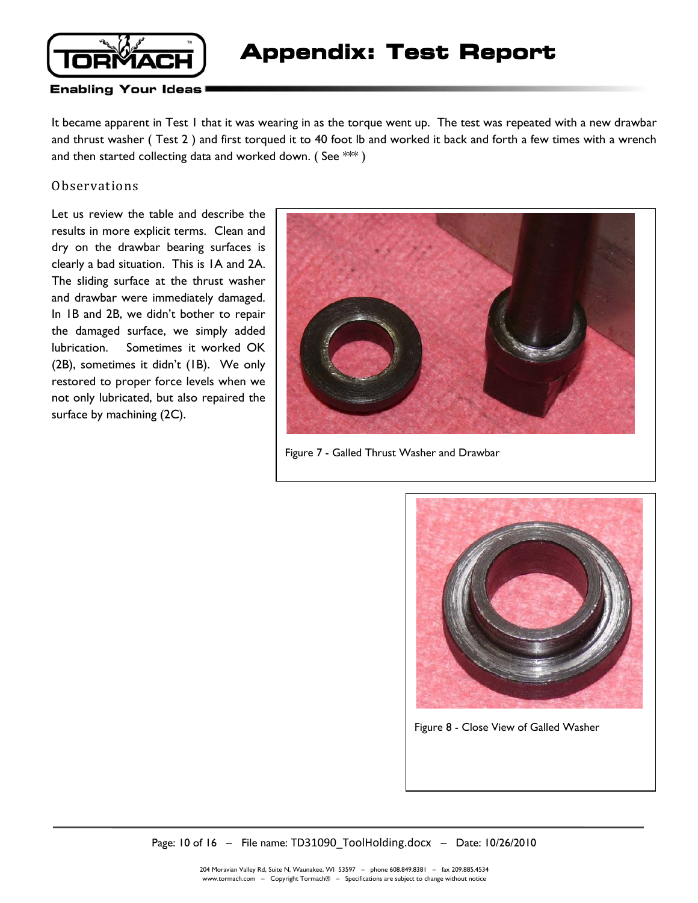

It became apparent in Test 1 that it was wearing in as the torque went up. The test was repeated with a new drawbar and thrust washer ( Test 2 ) and first torqued it to 40 foot lb and worked it back and forth a few times with a wrench and then started collecting data and worked down. (See  $***$  )

#### Observations

Let us review the table and describe the results in more explicit terms. Clean and dry on the drawbar bearing surfaces is clearly a bad situation. This is 1A and 2A. The sliding surface at the thrust washer and drawbar were immediately damaged. In 1B and 2B, we didn't bother to repair the damaged surface, we simply added lubrication. Sometimes it worked OK (2B), sometimes it didn't (1B). We only restored to proper force levels when we not only lubricated, but also repaired the surface by machining (2C).



Figure 7 - Galled Thrust Washer and Drawbar



Figure 8 - Close View of Galled Washer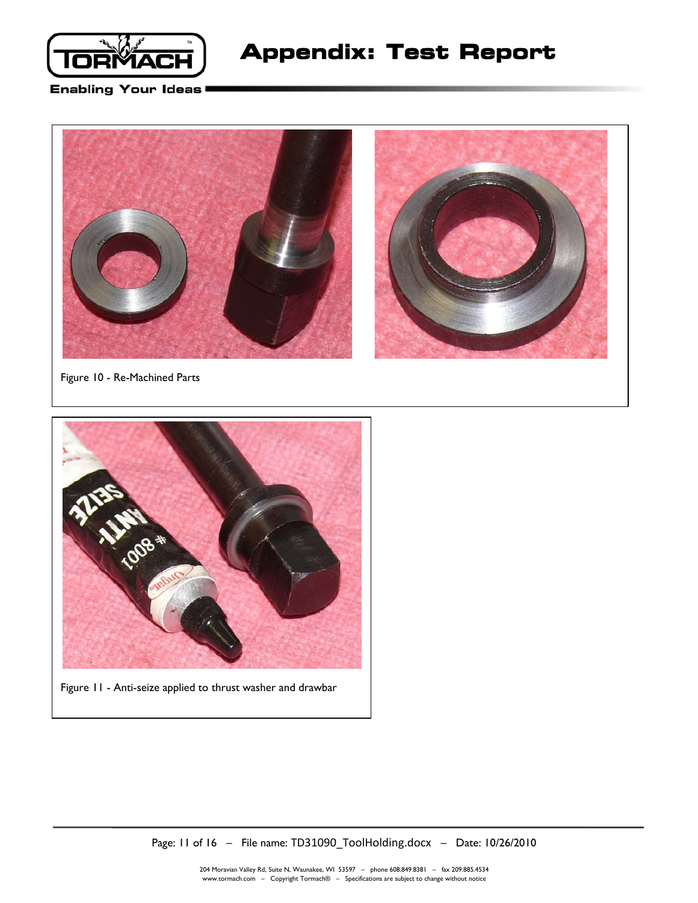



Figure 10 - Re-Machined Parts



Figure 11 - Anti-seize applied to thrust washer and drawbar

Page: 11 of 16 – File name: TD31090\_ToolHolding.docx – Date: 10/26/2010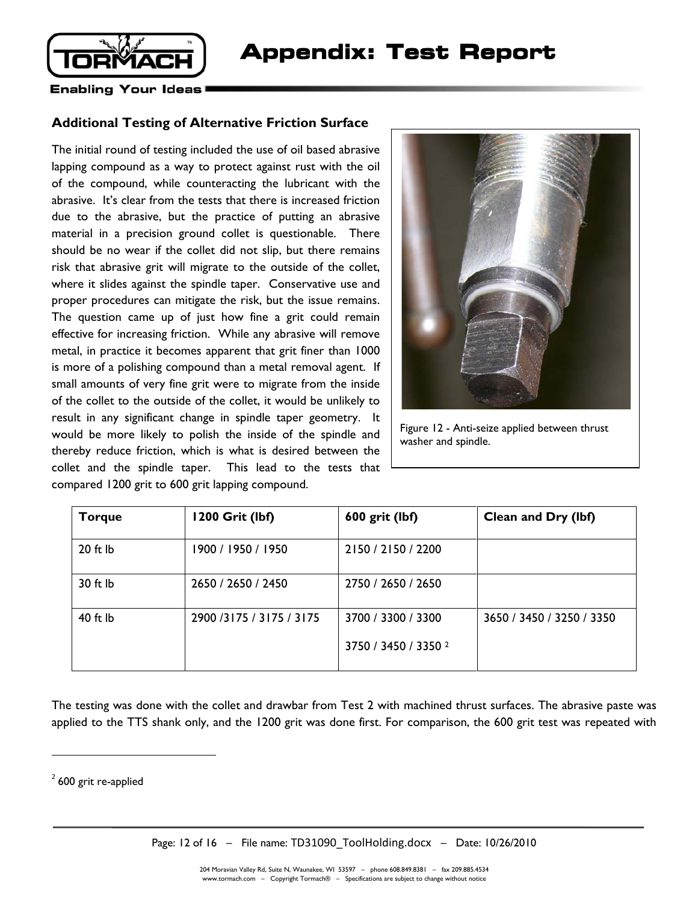

### **Additional Testing of Alternative Friction Surface**

The initial round of testing included the use of oil based abrasive lapping compound as a way to protect against rust with the oil of the compound, while counteracting the lubricant with the abrasive. It's clear from the tests that there is increased friction due to the abrasive, but the practice of putting an abrasive material in a precision ground collet is questionable. There should be no wear if the collet did not slip, but there remains risk that abrasive grit will migrate to the outside of the collet, where it slides against the spindle taper. Conservative use and proper procedures can mitigate the risk, but the issue remains. The question came up of just how fine a grit could remain effective for increasing friction. While any abrasive will remove metal, in practice it becomes apparent that grit finer than 1000 is more of a polishing compound than a metal removal agent. If small amounts of very fine grit were to migrate from the inside of the collet to the outside of the collet, it would be unlikely to result in any significant change in spindle taper geometry. It would be more likely to polish the inside of the spindle and thereby reduce friction, which is what is desired between the collet and the spindle taper. This lead to the tests that compared 1200 grit to 600 grit lapping compound.



Figure 12 - Anti-seize applied between thrust washer and spindle.

| <b>Torque</b> | 1200 Grit (lbf)          | 600 grit (lbf)                  | Clean and Dry (lbf)       |
|---------------|--------------------------|---------------------------------|---------------------------|
| $20$ ft $lb$  | 1900 / 1950 / 1950       | 2150 / 2150 / 2200              |                           |
| 30 ft lb      | 2650 / 2650 / 2450       | 2750 / 2650 / 2650              |                           |
| 40 ft lb      | 2900 /3175 / 3175 / 3175 | 3700 / 3300 / 3300              | 3650 / 3450 / 3250 / 3350 |
|               |                          | 3750 / 3450 / 3350 <sup>2</sup> |                           |

The testing was done with the collet and drawbar from Test 2 with machined thrust surfaces. The abrasive paste was applied to the TTS shank only, and the 1200 grit was done first. For comparison, the 600 grit test was repeated with

 $\overline{a}$ 

 $2$  600 grit re-applied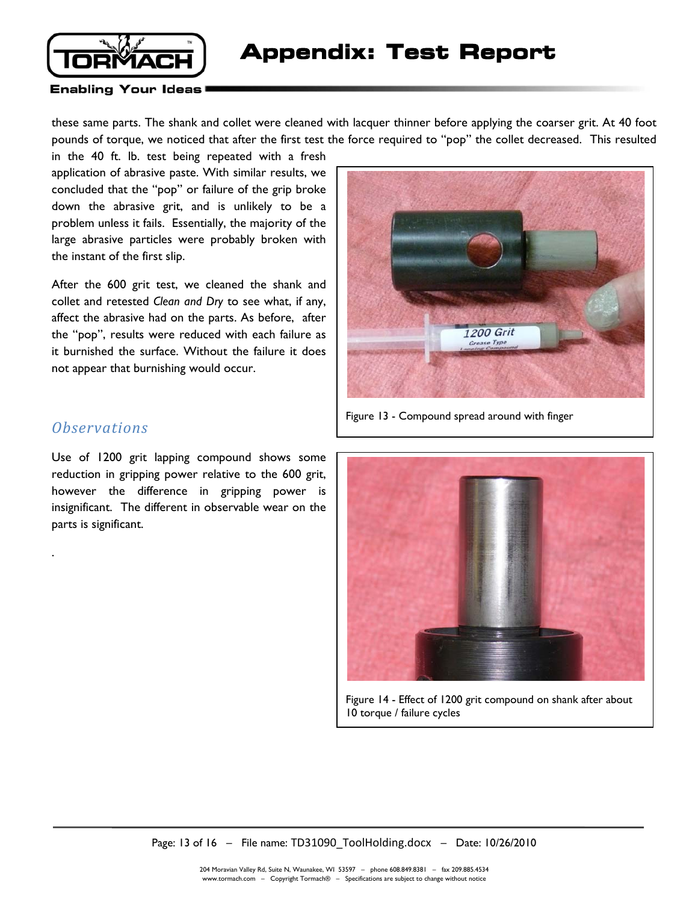

these same parts. The shank and collet were cleaned with lacquer thinner before applying the coarser grit. At 40 foot pounds of torque, we noticed that after the first test the force required to "pop" the collet decreased. This resulted

in the 40 ft. lb. test being repeated with a fresh application of abrasive paste. With similar results, we concluded that the "pop" or failure of the grip broke down the abrasive grit, and is unlikely to be a problem unless it fails. Essentially, the majority of the large abrasive particles were probably broken with the instant of the first slip.

After the 600 grit test, we cleaned the shank and collet and retested *Clean and Dry* to see what, if any, affect the abrasive had on the parts. As before, after the "pop", results were reduced with each failure as it burnished the surface. Without the failure it does not appear that burnishing would occur.



Figure 13 - Compound spread around with finger

# *Observations*

.

Use of 1200 grit lapping compound shows some reduction in gripping power relative to the 600 grit, however the difference in gripping power is insignificant. The different in observable wear on the parts is significant.



Figure 14 - Effect of 1200 grit compound on shank after about 10 torque / failure cycles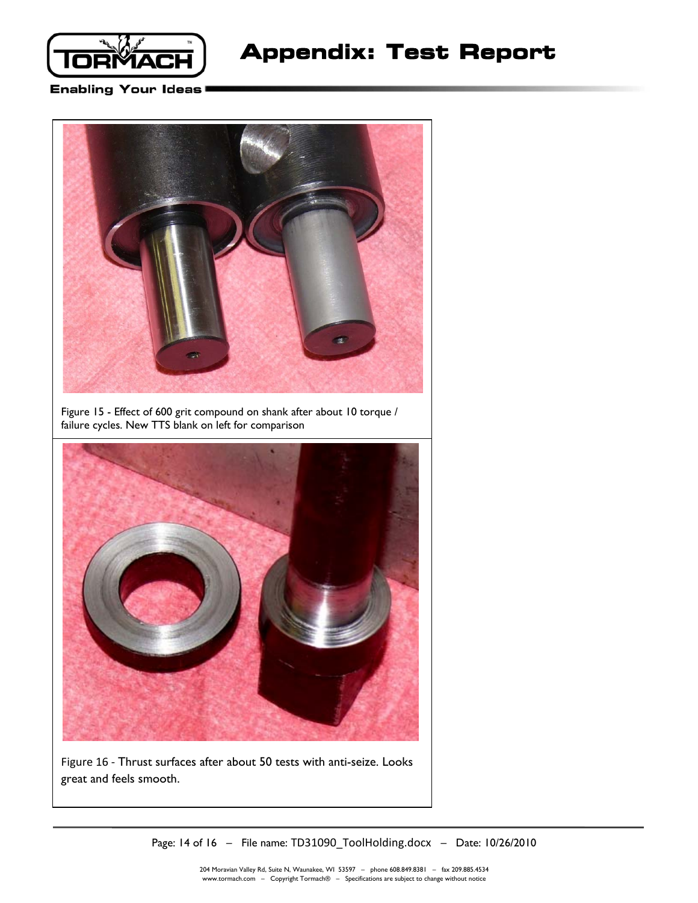

# **Appendix: Test Report**

#### **Enabling Your Ideas**



Figure 15 - Effect of 600 grit compound on shank after about 10 torque / failure cycles. New TTS blank on left for comparison



Figure 16 - Thrust surfaces after about 50 tests with anti-seize. Looks great and feels smooth.

Page: 14 of 16 – File name: TD31090\_ToolHolding.docx – Date: 10/26/2010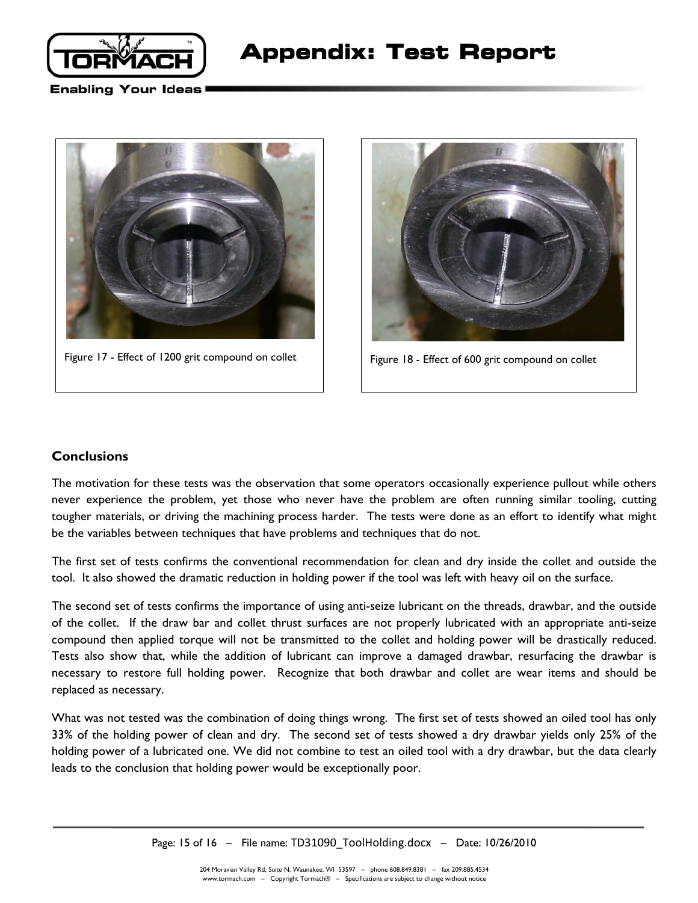



Figure 17 - Effect of 1200 grit compound on collet  $\vert$  Figure 18 - Effect of 600 grit compound on collet



### **Conclusions**

The motivation for these tests was the observation that some operators occasionally experience pullout while others never experience the problem, yet those who never have the problem are often running similar tooling, cutting tougher materials, or driving the machining process harder. The tests were done as an effort to identify what might be the variables between techniques that have problems and techniques that do not.

The first set of tests confirms the conventional recommendation for clean and dry inside the collet and outside the tool. It also showed the dramatic reduction in holding power if the tool was left with heavy oil on the surface.

The second set of tests confirms the importance of using anti-seize lubricant on the threads, drawbar, and the outside of the collet. If the draw bar and collet thrust surfaces are not properly lubricated with an appropriate anti-seize compound then applied torque will not be transmitted to the collet and holding power will be drastically reduced. Tests also show that, while the addition of lubricant can improve a damaged drawbar, resurfacing the drawbar is necessary to restore full holding power. Recognize that both drawbar and collet are wear items and should be replaced as necessary.

What was not tested was the combination of doing things wrong. The first set of tests showed an oiled tool has only 33% of the holding power of clean and dry. The second set of tests showed a dry drawbar yields only 25% of the holding power of a lubricated one. We did not combine to test an oiled tool with a dry drawbar, but the data clearly leads to the conclusion that holding power would be exceptionally poor.